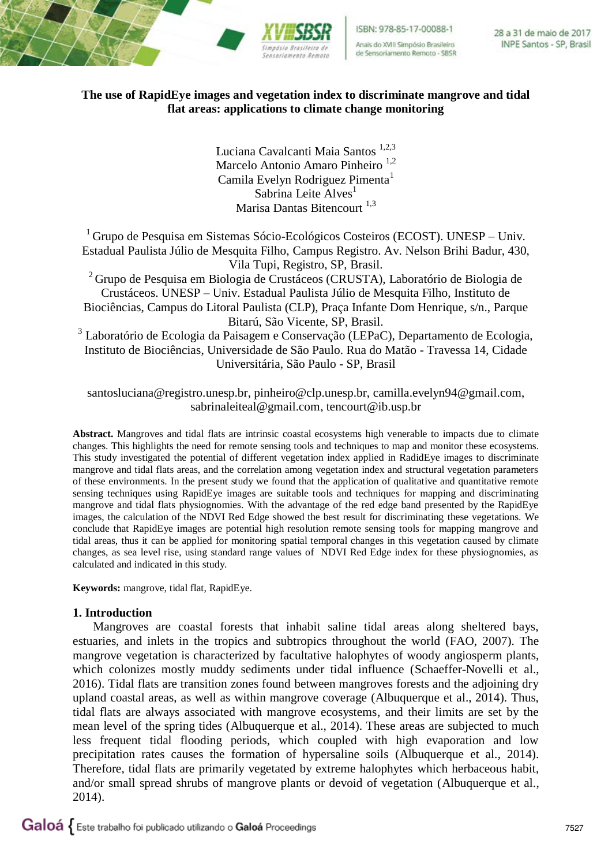

ISBN: 978-85-17-00088-1 Anajs do XVIII Simnósio Brasileiro de Sensoriamento Remoto - SBSR

28 a 31 de maio de 2017 INPE Santos - SP, Brasil

# **The use of RapidEye images and vegetation index to discriminate mangrove and tidal flat areas: applications to climate change monitoring**

Luciana Cavalcanti Maia Santos <sup>1,2,3</sup> Marcelo Antonio Amaro Pinheiro<sup>1,2</sup> Camila Evelyn Rodriguez Pimenta<sup>1</sup> Sabrina Leite Alves<sup>1</sup> Marisa Dantas Bitencourt<sup>1,3</sup>

<sup>1</sup> Grupo de Pesquisa em Sistemas Sócio-Ecológicos Costeiros (ECOST). UNESP – Univ. Estadual Paulista Júlio de Mesquita Filho, Campus Registro. Av. Nelson Brihi Badur, 430, Vila Tupi, Registro, SP, Brasil.

<sup>2</sup> Grupo de Pesquisa em Biologia de Crustáceos (CRUSTA), Laboratório de Biologia de Crustáceos. UNESP – Univ. Estadual Paulista Júlio de Mesquita Filho, Instituto de Biociências, Campus do Litoral Paulista (CLP), Praça Infante Dom Henrique, s/n., Parque Bitarú, São Vicente, SP, Brasil.

<sup>3</sup> Laboratório de Ecologia da Paisagem e Conservação (LEPaC), Departamento de Ecologia, Instituto de Biociências, Universidade de São Paulo. Rua do Matão - Travessa 14, Cidade Universitária, São Paulo - SP, Brasil

santosluciana@registro.unesp.br, pinheiro@clp.unesp.br, camilla.evelyn94@gmail.com, sabrinaleiteal@gmail.com, tencourt@ib.usp.br

**Abstract.** Mangroves and tidal flats are intrinsic coastal ecosystems high venerable to impacts due to climate changes. This highlights the need for remote sensing tools and techniques to map and monitor these ecosystems. This study investigated the potential of different vegetation index applied in RadidEye images to discriminate mangrove and tidal flats areas, and the correlation among vegetation index and structural vegetation parameters of these environments. In the present study we found that the application of qualitative and quantitative remote sensing techniques using RapidEye images are suitable tools and techniques for mapping and discriminating mangrove and tidal flats physiognomies. With the advantage of the red edge band presented by the RapidEye images, the calculation of the NDVI Red Edge showed the best result for discriminating these vegetations. We conclude that RapidEye images are potential high resolution remote sensing tools for mapping mangrove and tidal areas, thus it can be applied for monitoring spatial temporal changes in this vegetation caused by climate changes, as sea level rise, using standard range values of NDVI Red Edge index for these physiognomies, as calculated and indicated in this study.

**Keywords:** mangrove, tidal flat, RapidEye.

## **1. Introduction**

Mangroves are coastal forests that inhabit saline tidal areas along sheltered bays, estuaries, and inlets in the tropics and subtropics throughout the world (FAO, 2007). The mangrove vegetation is characterized by facultative halophytes of woody angiosperm plants, which colonizes mostly muddy sediments under tidal influence (Schaeffer-Novelli et al., 2016). Tidal flats are transition zones found between mangroves forests and the adjoining dry upland coastal areas, as well as within mangrove coverage (Albuquerque et al., 2014). Thus, tidal flats are always associated with mangrove ecosystems, and their limits are set by the mean level of the spring tides (Albuquerque et al., 2014). These areas are subjected to much less frequent tidal flooding periods, which coupled with high evaporation and low precipitation rates causes the formation of hypersaline soils (Albuquerque et al., 2014). Therefore, tidal flats are primarily vegetated by extreme halophytes which herbaceous habit, and/or small spread shrubs of mangrove plants or devoid of vegetation (Albuquerque et al., 2014).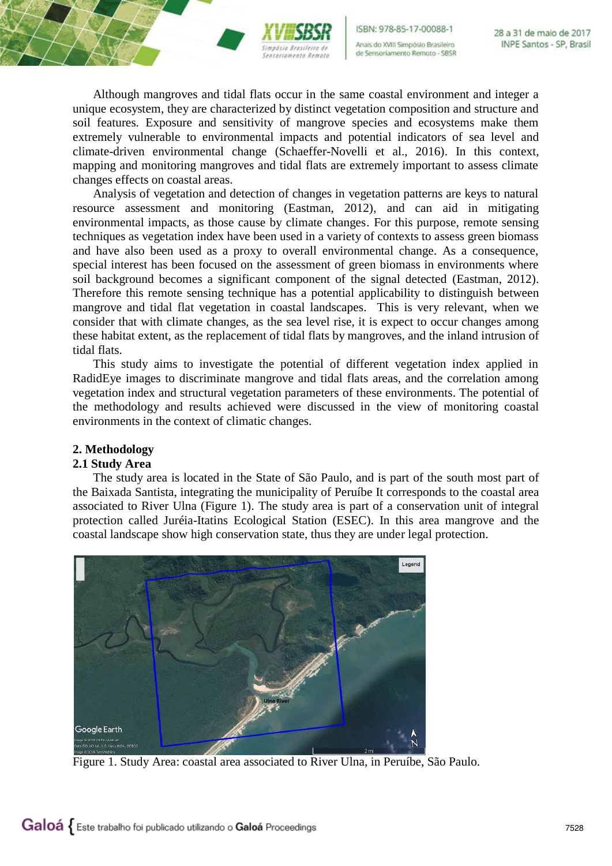

ISBN: 978-85-17-00088-1 Anais do XVIII Simpósio Brasileiro de Sensoriamento Remoto - SBSR

Although mangroves and tidal flats occur in the same coastal environment and integer a unique ecosystem, they are characterized by distinct vegetation composition and structure and soil features. Exposure and sensitivity of mangrove species and ecosystems make them extremely vulnerable to environmental impacts and potential indicators of sea level and climate-driven environmental change (Schaeffer-Novelli et al., 2016). In this context, mapping and monitoring mangroves and tidal flats are extremely important to assess climate changes effects on coastal areas.

Analysis of vegetation and detection of changes in vegetation patterns are keys to natural resource assessment and monitoring (Eastman, 2012), and can aid in mitigating environmental impacts, as those cause by climate changes. For this purpose, remote sensing techniques as vegetation index have been used in a variety of contexts to assess green biomass and have also been used as a proxy to overall environmental change. As a consequence, special interest has been focused on the assessment of green biomass in environments where soil background becomes a significant component of the signal detected (Eastman, 2012). Therefore this remote sensing technique has a potential applicability to distinguish between mangrove and tidal flat vegetation in coastal landscapes. This is very relevant, when we consider that with climate changes, as the sea level rise, it is expect to occur changes among these habitat extent, as the replacement of tidal flats by mangroves, and the inland intrusion of tidal flats.

This study aims to investigate the potential of different vegetation index applied in RadidEye images to discriminate mangrove and tidal flats areas, and the correlation among vegetation index and structural vegetation parameters of these environments. The potential of the methodology and results achieved were discussed in the view of monitoring coastal environments in the context of climatic changes.

# **2. Methodology**

## **2.1 Study Area**

The study area is located in the State of São Paulo, and is part of the south most part of the Baixada Santista, integrating the municipality of Peruíbe It corresponds to the coastal area associated to River Ulna (Figure 1). The study area is part of a conservation unit of integral protection called Juréia-Itatins Ecological Station (ESEC). In this area mangrove and the coastal landscape show high conservation state, thus they are under legal protection.



Figure 1. Study Area: coastal area associated to River Ulna, in Peruíbe, São Paulo.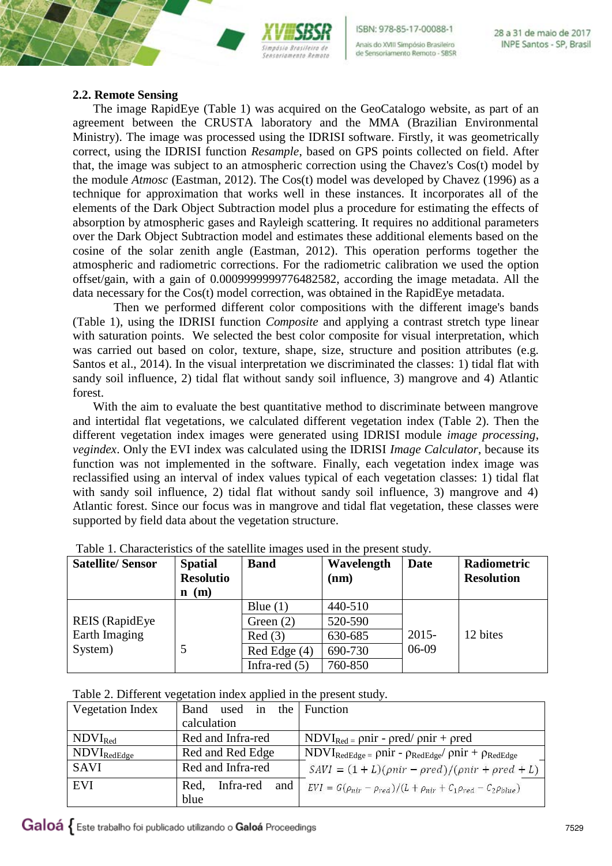ISBN: 978-85-17-00088-1 Anais do XVIII Simpósio Brasileiro de Sensoriamento Remoto - SBSR

### **2.2. Remote Sensing**

The image RapidEye (Table 1) was acquired on the GeoCatalogo website, as part of an agreement between the CRUSTA laboratory and the MMA (Brazilian Environmental Ministry). The image was processed using the IDRISI software. Firstly, it was geometrically correct, using the IDRISI function *Resample*, based on GPS points collected on field. After that, the image was subject to an atmospheric correction using the Chavez's Cos(t) model by the module *Atmosc* (Eastman, 2012). The Cos(t) model was developed by Chavez (1996) as a technique for approximation that works well in these instances. It incorporates all of the elements of the Dark Object Subtraction model plus a procedure for estimating the effects of absorption by atmospheric gases and Rayleigh scattering. It requires no additional parameters over the Dark Object Subtraction model and estimates these additional elements based on the cosine of the solar zenith angle (Eastman, 2012). This operation performs together the atmospheric and radiometric corrections. For the radiometric calibration we used the option offset/gain, with a gain of 0.0009999999776482582, according the image metadata. All the data necessary for the Cos(t) model correction, was obtained in the RapidEye metadata.

Simpásio Reasileiro de

Sensariamento Remoto

Then we performed different color compositions with the different image's bands (Table 1), using the IDRISI function *Composite* and applying a contrast stretch type linear with saturation points. We selected the best color composite for visual interpretation, which was carried out based on color, texture, shape, size, structure and position attributes (e.g. Santos et al., 2014). In the visual interpretation we discriminated the classes: 1) tidal flat with sandy soil influence, 2) tidal flat without sandy soil influence, 3) mangrove and 4) Atlantic forest.

With the aim to evaluate the best quantitative method to discriminate between mangrove and intertidal flat vegetations, we calculated different vegetation index (Table 2). Then the different vegetation index images were generated using IDRISI module *image processing*, *vegindex*. Only the EVI index was calculated using the IDRISI *Image Calculator*, because its function was not implemented in the software. Finally, each vegetation index image was reclassified using an interval of index values typical of each vegetation classes: 1) tidal flat with sandy soil influence, 2) tidal flat without sandy soil influence, 3) mangrove and 4) Atlantic forest. Since our focus was in mangrove and tidal flat vegetation, these classes were supported by field data about the vegetation structure.

| <b>Satellite/Sensor</b> | <b>Spatial</b><br><b>Resolutio</b><br>(m)<br>$\mathbf n$ | <b>Band</b>     | Wavelength<br>(nm) | <b>Date</b> | Radiometric<br><b>Resolution</b> |
|-------------------------|----------------------------------------------------------|-----------------|--------------------|-------------|----------------------------------|
|                         |                                                          | Blue $(1)$      | 440-510            |             |                                  |
| <b>REIS</b> (RapidEye)  |                                                          | Green $(2)$     | 520-590            |             |                                  |
| Earth Imaging           |                                                          | Red(3)          | 630-685            | $2015 -$    | 12 bites                         |
| System)                 |                                                          | Red Edge (4)    | 690-730            | 06-09       |                                  |
|                         |                                                          | Infra-red $(5)$ | 760-850            |             |                                  |

Table 1. Characteristics of the satellite images used in the present study.

Table 2. Different vegetation index applied in the present study.

| Vegetation Index               | Band used in the Function |                                                                                        |  |
|--------------------------------|---------------------------|----------------------------------------------------------------------------------------|--|
|                                | calculation               |                                                                                        |  |
| $NDVI_{Red}$                   | Red and Infra-red         | $NDVI_{Red}$ = pnir - pred/ pnir + pred                                                |  |
| $\text{NDVI}_{\text{RedEdge}}$ | Red and Red Edge          | $NDVI_{RedEdge} = \rho nir - \rho_{RedEdge}/\rho nir + \rho_{RedEdge}$                 |  |
| <b>SAVI</b>                    | Red and Infra-red         | $SAVI = (1 + L)(\rho nir - \rho red)/(\rho nir + \rho red + L)$                        |  |
| <b>EVI</b>                     | Infra-red<br>and<br>Red.  | $EVI = G(\rho_{nir} - \rho_{red})/(L + \rho_{nir} + C_1 \rho_{red} - C_2 \rho_{blue})$ |  |
|                                | blue                      |                                                                                        |  |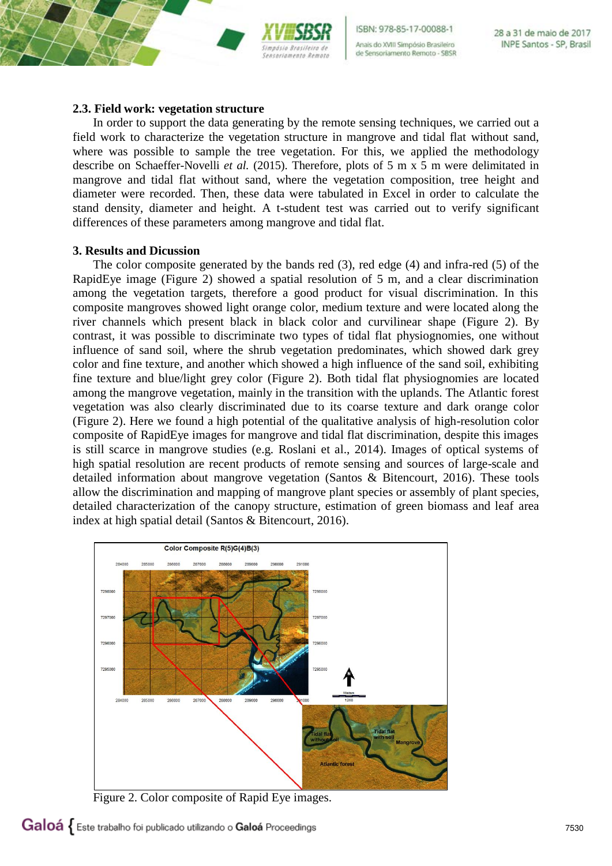### **2.3. Field work: vegetation structure**

In order to support the data generating by the remote sensing techniques, we carried out a field work to characterize the vegetation structure in mangrove and tidal flat without sand, where was possible to sample the tree vegetation. For this, we applied the methodology describe on Schaeffer-Novelli *et al.* (2015). Therefore, plots of 5 m x 5 m were delimitated in mangrove and tidal flat without sand, where the vegetation composition, tree height and diameter were recorded. Then, these data were tabulated in Excel in order to calculate the stand density, diameter and height. A t-student test was carried out to verify significant differences of these parameters among mangrove and tidal flat.

Simpósio Reasileiro de

Sensoriamento Remoto

### **3. Results and Dicussion**

The color composite generated by the bands red (3), red edge (4) and infra-red (5) of the RapidEye image (Figure 2) showed a spatial resolution of 5 m, and a clear discrimination among the vegetation targets, therefore a good product for visual discrimination. In this composite mangroves showed light orange color, medium texture and were located along the river channels which present black in black color and curvilinear shape (Figure 2). By contrast, it was possible to discriminate two types of tidal flat physiognomies, one without influence of sand soil, where the shrub vegetation predominates, which showed dark grey color and fine texture, and another which showed a high influence of the sand soil, exhibiting fine texture and blue/light grey color (Figure 2). Both tidal flat physiognomies are located among the mangrove vegetation, mainly in the transition with the uplands. The Atlantic forest vegetation was also clearly discriminated due to its coarse texture and dark orange color (Figure 2). Here we found a high potential of the qualitative analysis of high-resolution color composite of RapidEye images for mangrove and tidal flat discrimination, despite this images is still scarce in mangrove studies (e.g. Roslani et al., 2014). Images of optical systems of high spatial resolution are recent products of remote sensing and sources of large-scale and detailed information about mangrove vegetation (Santos & Bitencourt, 2016). These tools allow the discrimination and mapping of mangrove plant species or assembly of plant species, detailed characterization of the canopy structure, estimation of green biomass and leaf area index at high spatial detail (Santos & Bitencourt, 2016).



Figure 2. Color composite of Rapid Eye images.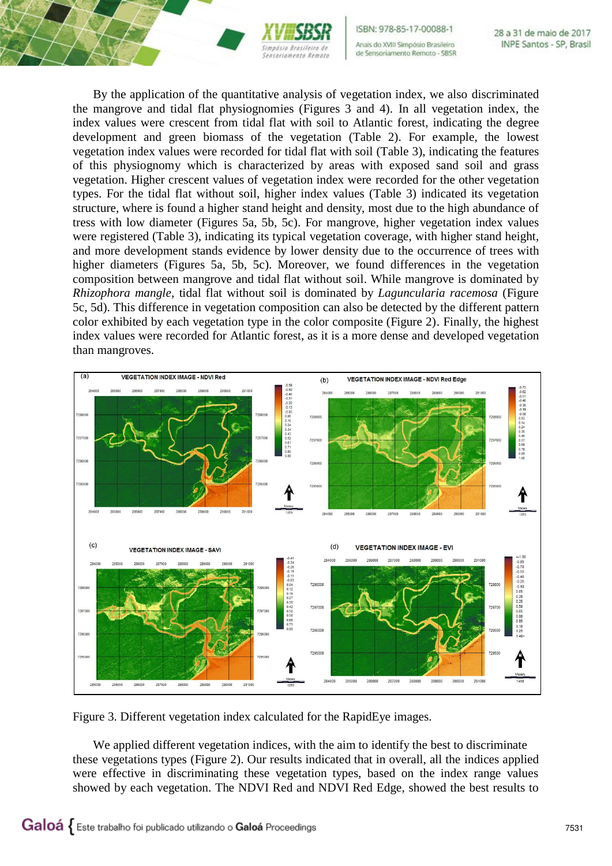

By the application of the quantitative analysis of vegetation index, we also discriminated the mangrove and tidal flat physiognomies (Figures 3 and 4). In all vegetation index, the index values were crescent from tidal flat with soil to Atlantic forest, indicating the degree development and green biomass of the vegetation (Table 2). For example, the lowest vegetation index values were recorded for tidal flat with soil (Table 3), indicating the features of this physiognomy which is characterized by areas with exposed sand soil and grass vegetation. Higher crescent values of vegetation index were recorded for the other vegetation types. For the tidal flat without soil, higher index values (Table 3) indicated its vegetation structure, where is found a higher stand height and density, most due to the high abundance of tress with low diameter (Figures 5a, 5b, 5c). For mangrove, higher vegetation index values were registered (Table 3), indicating its typical vegetation coverage, with higher stand height, and more development stands evidence by lower density due to the occurrence of trees with higher diameters (Figures 5a, 5b, 5c). Moreover, we found differences in the vegetation composition between mangrove and tidal flat without soil. While mangrove is dominated by *Rhizophora mangle*, tidal flat without soil is dominated by *Laguncularia racemosa* (Figure 5c, 5d). This difference in vegetation composition can also be detected by the different pattern color exhibited by each vegetation type in the color composite (Figure 2). Finally, the highest index values were recorded for Atlantic forest, as it is a more dense and developed vegetation than mangroves.

Simpósio Reasileiro de

Sensoriamento Remoto



Figure 3. Different vegetation index calculated for the RapidEye images.

We applied different vegetation indices, with the aim to identify the best to discriminate these vegetations types (Figure 2). Our results indicated that in overall, all the indices applied were effective in discriminating these vegetation types, based on the index range values showed by each vegetation. The NDVI Red and NDVI Red Edge, showed the best results to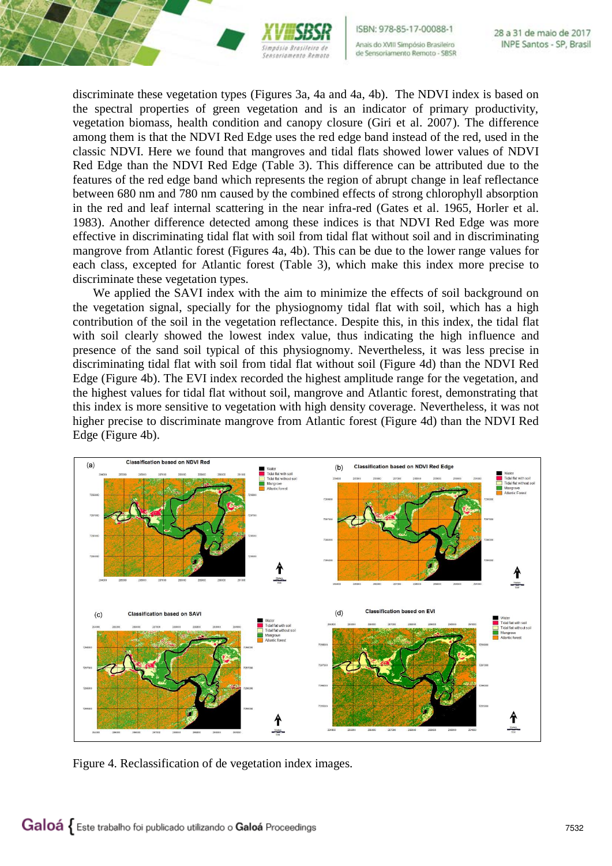

discriminate these vegetation types (Figures 3a, 4a and 4a, 4b). The NDVI index is based on the spectral properties of green vegetation and is an indicator of primary productivity, vegetation biomass, health condition and canopy closure (Giri et al. 2007). The difference among them is that the NDVI Red Edge uses the red edge band instead of the red, used in the classic NDVI. Here we found that mangroves and tidal flats showed lower values of NDVI Red Edge than the NDVI Red Edge (Table 3). This difference can be attributed due to the features of the red edge band which represents the region of abrupt change in leaf reflectance between 680 nm and 780 nm caused by the combined effects of strong chlorophyll absorption in the red and leaf internal scattering in the near infra-red (Gates et al. 1965, Horler et al. 1983). Another difference detected among these indices is that NDVI Red Edge was more effective in discriminating tidal flat with soil from tidal flat without soil and in discriminating mangrove from Atlantic forest (Figures 4a, 4b). This can be due to the lower range values for each class, excepted for Atlantic forest (Table 3), which make this index more precise to discriminate these vegetation types.

Simpósio Reasileiro de

Sensoriamento Remoto

We applied the SAVI index with the aim to minimize the effects of soil background on the vegetation signal, specially for the physiognomy tidal flat with soil, which has a high contribution of the soil in the vegetation reflectance. Despite this, in this index, the tidal flat with soil clearly showed the lowest index value, thus indicating the high influence and presence of the sand soil typical of this physiognomy. Nevertheless, it was less precise in discriminating tidal flat with soil from tidal flat without soil (Figure 4d) than the NDVI Red Edge (Figure 4b). The EVI index recorded the highest amplitude range for the vegetation, and the highest values for tidal flat without soil, mangrove and Atlantic forest, demonstrating that this index is more sensitive to vegetation with high density coverage. Nevertheless, it was not higher precise to discriminate mangrove from Atlantic forest (Figure 4d) than the NDVI Red Edge (Figure 4b).



Figure 4. Reclassification of de vegetation index images.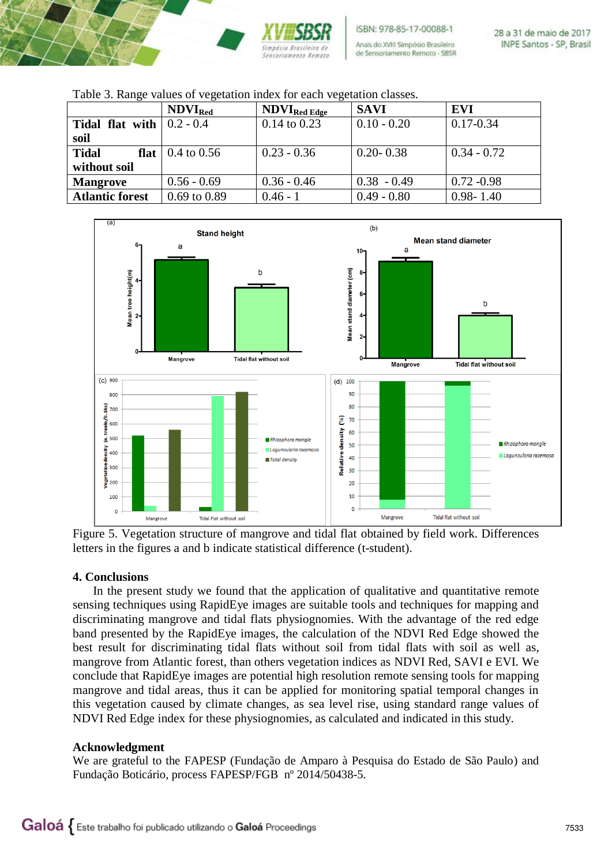

ISBN: 978-85-17-00088-1 Anais do XVIII Simpósio Brasileiro de Sensoriamento Remoto - SBSR

|                                                | $NDVI_{Red}$                                   | $\bf NDVI_{Red\, Edge}$ | <b>SAVI</b>   | <b>EVI</b>    |
|------------------------------------------------|------------------------------------------------|-------------------------|---------------|---------------|
| <b>Tidal flat with</b> $\vert 0.2 - 0.4 \vert$ |                                                | $0.14$ to $0.23$        | $0.10 - 0.20$ | $0.17 - 0.34$ |
| soil                                           |                                                |                         |               |               |
| <b>Tidal</b>                                   | <b>flat</b> $\vert 0.4 \text{ to } 0.56 \vert$ | $0.23 - 0.36$           | $0.20 - 0.38$ | $0.34 - 0.72$ |
| without soil                                   |                                                |                         |               |               |
| <b>Mangrove</b>                                | $0.56 - 0.69$                                  | $0.36 - 0.46$           | $0.38 - 0.49$ | $0.72 - 0.98$ |
| <b>Atlantic forest</b>                         | $0.69$ to $0.89$                               | $0.46 - 1$              | $0.49 - 0.80$ | $0.98 - 1.40$ |

Table 3. Range values of vegetation index for each vegetation classes.



Figure 5. Vegetation structure of mangrove and tidal flat obtained by field work. Differences letters in the figures a and b indicate statistical difference (t-student).

## **4. Conclusions**

In the present study we found that the application of qualitative and quantitative remote sensing techniques using RapidEye images are suitable tools and techniques for mapping and discriminating mangrove and tidal flats physiognomies. With the advantage of the red edge band presented by the RapidEye images, the calculation of the NDVI Red Edge showed the best result for discriminating tidal flats without soil from tidal flats with soil as well as, mangrove from Atlantic forest, than others vegetation indices as NDVI Red, SAVI e EVI. We conclude that RapidEye images are potential high resolution remote sensing tools for mapping mangrove and tidal areas, thus it can be applied for monitoring spatial temporal changes in this vegetation caused by climate changes, as sea level rise, using standard range values of NDVI Red Edge index for these physiognomies, as calculated and indicated in this study.

## **Acknowledgment**

We are grateful to the FAPESP (Fundação de Amparo à Pesquisa do Estado de São Paulo) and Fundação Boticário, process FAPESP/FGB nº 2014/50438-5.